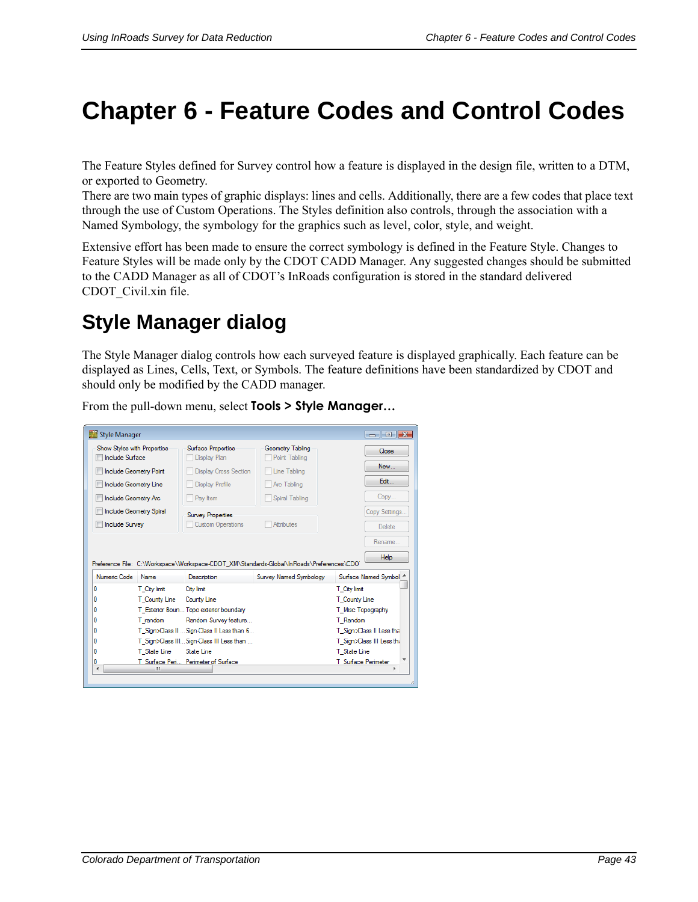# **Chapter 6 - Feature Codes and Control Codes**

The Feature Styles defined for Survey control how a feature is displayed in the design file, written to a DTM, or exported to Geometry.

There are two main types of graphic displays: lines and cells. Additionally, there are a few codes that place text through the use of Custom Operations. The Styles definition also controls, through the association with a Named Symbology, the symbology for the graphics such as level, color, style, and weight.

Extensive effort has been made to ensure the correct symbology is defined in the Feature Style. Changes to Feature Styles will be made only by the CDOT CADD Manager. Any suggested changes should be submitted to the CADD Manager as all of CDOT's InRoads configuration is stored in the standard delivered CDOT\_Civil.xin file.

## **Style Manager dialog**

The Style Manager dialog controls how each surveyed feature is displayed graphically. Each feature can be displayed as Lines, Cells, Text, or Symbols. The feature definitions have been standardized by CDOT and should only be modified by the CADD manager.

From the pull-down menu, select **Tools > Style Manager…**

| Style Manager                                         |               |                                            |                                                                                          |                     | $\mathbb{E}$ $\mathbb{E}$<br>$\Box$ |
|-------------------------------------------------------|---------------|--------------------------------------------|------------------------------------------------------------------------------------------|---------------------|-------------------------------------|
| Show Styles with Properties<br><b>Include Surface</b> |               | Surface Properties<br>Display Plan         | Geometry Tabling<br>Point Tabling                                                        |                     | Close                               |
| <b>Include Geometry Point</b>                         |               | <b>Display Cross Section</b>               | Line Tabling                                                                             |                     | New                                 |
| Include Geometry Line                                 |               | Display Profile                            | Arc Tabling                                                                              |                     | Edit                                |
| Include Geometry Arc                                  |               | Pav Item                                   | Spiral Tabling                                                                           |                     | Copy                                |
| <b>Include Geometry Spiral</b>                        |               | <b>Survey Properties</b>                   |                                                                                          |                     | Copy Settings                       |
| <b>Include Survey</b>                                 |               | <b>Custom Operations</b>                   | <b>Attributes</b>                                                                        |                     | <b>Delete</b>                       |
|                                                       |               |                                            |                                                                                          |                     |                                     |
|                                                       |               |                                            |                                                                                          |                     | Rename                              |
|                                                       |               |                                            |                                                                                          |                     |                                     |
|                                                       |               |                                            | Preference File: C:\Workspace\Workspace-CDOT XM\Standards-Global\InRoads\Preferences\CDO |                     | <b>Help</b>                         |
| Numeric Code                                          | Name          | <b>Description</b>                         | Survey Named Symbology                                                                   |                     | Surface Named Symbol 4              |
| 0                                                     | T City limit  | City limit                                 |                                                                                          | T City limit        |                                     |
| 0                                                     | T County Line | County Line                                |                                                                                          | T County Line       |                                     |
|                                                       |               | T_Exterior Boun Topo exterior boundary     |                                                                                          | T Misc Topography   |                                     |
|                                                       | T random      | Random Survey feature                      |                                                                                          | T Random            |                                     |
| n<br>n<br>n                                           |               | T Sign>Class II  Sign-Class II Less than 6 |                                                                                          |                     | T Sign>Class II Less tha            |
| n                                                     |               | T Sign>Class III Sign-Class III Less than  |                                                                                          |                     | T Sign>Class III Less thi           |
| n                                                     | T State Line  | State Line                                 |                                                                                          | T State Line        |                                     |
| ٥                                                     |               | T Surface Peri Perimeter of Surface        |                                                                                          | T Surface Perimeter |                                     |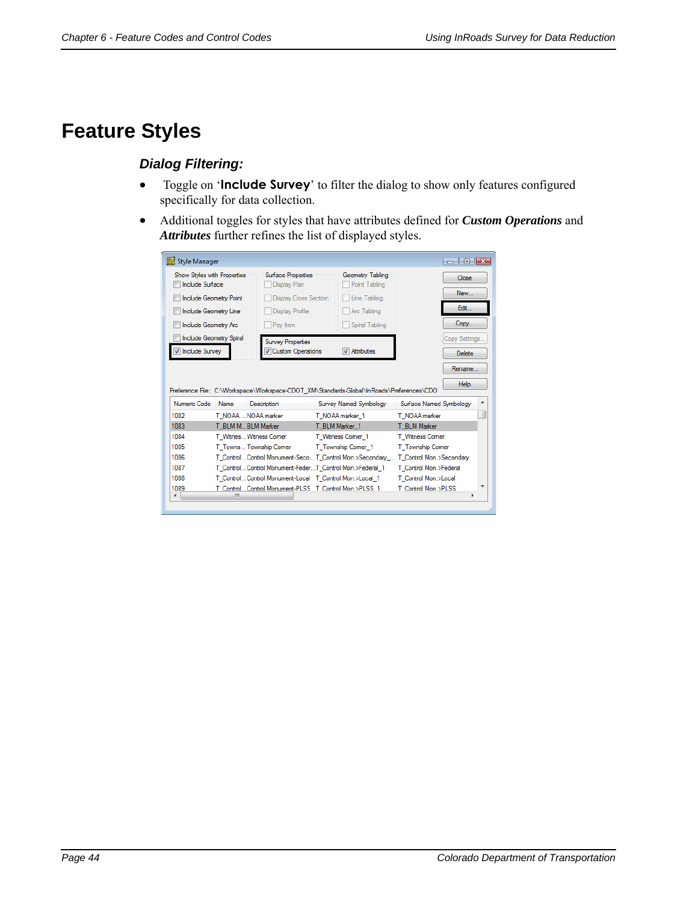## **Feature Styles**

## *Dialog Filtering:*

- Toggle on '**Include Survey**' to filter the dialog to show only features configured specifically for data collection.
- Additional toggles for styles that have attributes defined for *Custom Operations* and *Attributes* further refines the list of displayed styles.

| Show Styles with Properties<br><b>Include Surface</b>                        |      | <b>Surface Properties</b><br>Display Plan                                                                |                 | Geometry Tabling<br>Point Tabling |                         | Close          |        |
|------------------------------------------------------------------------------|------|----------------------------------------------------------------------------------------------------------|-----------------|-----------------------------------|-------------------------|----------------|--------|
| <b>Include Geometry Point</b>                                                |      | <b>Display Cross Section</b>                                                                             |                 | Line Tabling                      |                         | New            |        |
| <b>Include Geometry Line</b>                                                 |      | <b>Display Profile</b>                                                                                   |                 | Arc Tabling                       |                         | Edit           |        |
| Include Geometry Arc                                                         |      | Pay Item                                                                                                 |                 | Spiral Tabling                    |                         | Copy           |        |
| <b>Include Geometry Spiral</b>                                               |      | <b>Survey Properties</b>                                                                                 |                 |                                   |                         | Copy Settings  |        |
| Include Survey                                                               |      | Custom Operations                                                                                        |                 | <b>V</b> Attributes               |                         | Delete         |        |
|                                                                              |      |                                                                                                          |                 |                                   |                         | Rename<br>Help |        |
|                                                                              | Name | Preference File: C:\Workspace\Workspace-CDOT XM\Standards-Global\InRoads\Preferences\CDO`<br>Description |                 | Survey Named Symbology            | Surface Named Symbology |                |        |
|                                                                              |      | T NOAA  NOAA marker                                                                                      | T NOAA marker 1 |                                   | T NOAA marker           |                |        |
|                                                                              |      | T BLM MBLM Marker                                                                                        | T BLM Marker 1  |                                   | T BLM Marker            |                |        |
|                                                                              |      | T Witnes Witness Comer                                                                                   |                 | T Witness Comer 1                 | T Witness Comer         |                |        |
|                                                                              |      | T Towns Township Comer                                                                                   |                 | T Township Comer 1                | T Township Comer        |                |        |
|                                                                              |      | T_ControlControl Monument-SecoT_Control Mon.>Secondary_ T_Control Mon.>Secondary                         |                 |                                   |                         |                |        |
|                                                                              |      | T Control Control Monument-FederT Control Mon.>Federal 1                                                 |                 |                                   | T Control Mon.>Federal  |                |        |
| Numeric Code<br>1082<br>1083<br>1084<br>1085<br>1086<br>1087<br>1088<br>1089 |      | T_Control Control Monument-Local T_Control Mon.>Local_1                                                  |                 |                                   | T Control Mon.>Local    |                | ▴<br>ш |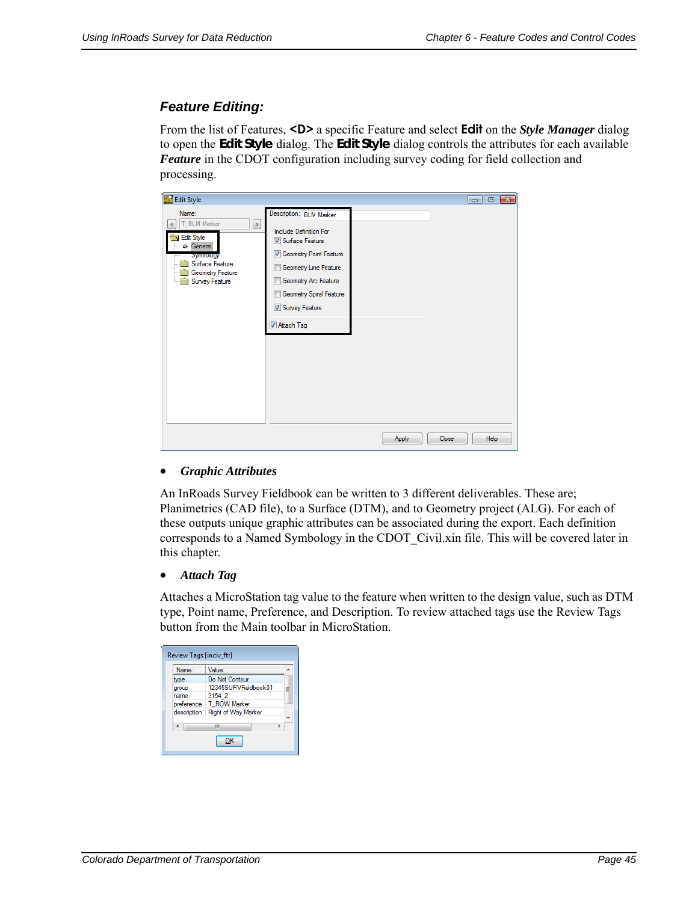## *Feature Editing:*

From the list of Features, **<D>** a specific Feature and select **Edit** on the *Style Manager* dialog to open the *Edit Style* dialog. The *Edit Style* dialog controls the attributes for each available *Feature* in the CDOT configuration including survey coding for field collection and processing.

| 國<br><b>Edit Style</b>                                                                                                              |                                                                                                                                                                                                                 |       | $\begin{array}{c c c c c} \hline \multicolumn{3}{c }{\multicolumn{3}{c }{\multicolumn{3}{c }{\multicolumn{3}{c }{\multicolumn{3}{c }{\multicolumn{3}{c }{\multicolumn{3}{c }{\multicolumn{3}{c }{\multicolumn{3}{c }{\multicolumn{3}{c }{\multicolumn{3}{c }{\multicolumn{3}{c }{\multicolumn{3}{c }{\multicolumn{3}{c }{\multicolumn{3}{c }{\multicolumn{3}{c }{\multicolumn{3}{c }{\multicolumn{3}{c }{\multicolumn{3}{c }{\multicolumn{3}{c }{\mult$ |
|-------------------------------------------------------------------------------------------------------------------------------------|-----------------------------------------------------------------------------------------------------------------------------------------------------------------------------------------------------------------|-------|---------------------------------------------------------------------------------------------------------------------------------------------------------------------------------------------------------------------------------------------------------------------------------------------------------------------------------------------------------------------------------------------------------------------------------------------------------|
| Name:<br>T_BLM Marker<br>$\geq$<br>≺<br>Edit Style<br>Seneral<br>Symbology<br>Surface Feature<br>Geometry Feature<br>Survey Feature | Description: BLM Marker<br>Include Definition For<br>Surface Feature<br>Geometry Point Feature<br>Geometry Line Feature<br>Geometry Arc Feature<br>п<br>Geometry Spiral Feature<br>Survey Feature<br>Attach Tag |       |                                                                                                                                                                                                                                                                                                                                                                                                                                                         |
|                                                                                                                                     |                                                                                                                                                                                                                 | Apply | Help<br>Close                                                                                                                                                                                                                                                                                                                                                                                                                                           |

#### *Graphic Attributes*

An InRoads Survey Fieldbook can be written to 3 different deliverables. These are; Planimetrics (CAD file), to a Surface (DTM), and to Geometry project (ALG). For each of these outputs unique graphic attributes can be associated during the export. Each definition corresponds to a Named Symbology in the CDOT\_Civil.xin file. This will be covered later in this chapter.

#### *Attach Tag*

Attaches a MicroStation tag value to the feature when written to the design value, such as DTM type, Point name, Preference, and Description. To review attached tags use the Review Tags button from the Main toolbar in MicroStation.

| Review Tags [inciv_ftr] |                      |   |
|-------------------------|----------------------|---|
| Name:                   | Value:               |   |
| type                    | Do Not Contour       |   |
| group                   | 12345SURVFieldbook01 | Ξ |
| name                    | 3154 2               |   |
| preference              | T ROW Marker         |   |
| description             | Right of Way Marker  |   |
|                         | ш                    |   |
|                         | ок                   |   |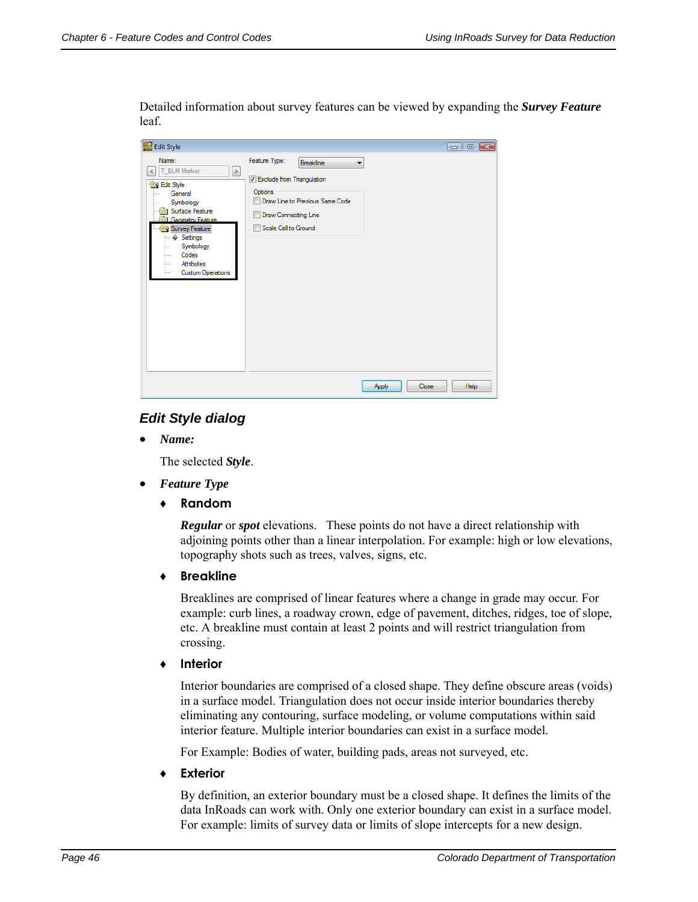Detailed information about survey features can be viewed by expanding the *Survey Feature* leaf.

| <b>Edit Style</b><br>國                                                                                                                                                                                                                                                             |                                                                                                                                                                                  | $\begin{array}{c c c c c} \hline \multicolumn{3}{c }{\multicolumn{3}{c }{\multicolumn{3}{c }{\multicolumn{3}{c }{\multicolumn{3}{c }{\multicolumn{3}{c }{\multicolumn{3}{c }{\multicolumn{3}{c }{\multicolumn{3}{c }{\multicolumn{3}{c }{\multicolumn{3}{c }{\multicolumn{3}{c }{\multicolumn{3}{c }{\multicolumn{3}{c }{\multicolumn{3}{c }{\multicolumn{3}{c }{\multicolumn{3}{c }{\multicolumn{3}{c }{\multicolumn{3}{c }{\multicolumn{3}{c }{\mult$ |
|------------------------------------------------------------------------------------------------------------------------------------------------------------------------------------------------------------------------------------------------------------------------------------|----------------------------------------------------------------------------------------------------------------------------------------------------------------------------------|---------------------------------------------------------------------------------------------------------------------------------------------------------------------------------------------------------------------------------------------------------------------------------------------------------------------------------------------------------------------------------------------------------------------------------------------------------|
| Name:<br>T_BLM Marker<br>$\geq$<br>K<br>Edit Style<br>General<br>Symbology<br>$\cdots$<br>Surface Feature<br>Geometry Feature<br>Survey Feature<br><b><math>\Phi</math></b> Settings<br>Symbology<br><br>Codes<br>i<br>Attributes<br><b>Louis</b><br><b>Custom Operations</b><br>i | Feature Type:<br><b>Breakline</b><br>۰<br><b>V</b> Exclude from Triangulation<br>Options<br>Draw Line to Previous Same Code<br>F<br>Draw Connecting Line<br>Scale Cell to Ground |                                                                                                                                                                                                                                                                                                                                                                                                                                                         |
|                                                                                                                                                                                                                                                                                    |                                                                                                                                                                                  | Close<br>Help<br><b>Apply</b>                                                                                                                                                                                                                                                                                                                                                                                                                           |

## *Edit Style dialog*

*Name:*

The selected *Style*.

- *Feature Type*
	- **♦ Random**

*Regular* or *spot* elevations. These points do not have a direct relationship with adjoining points other than a linear interpolation. For example: high or low elevations, topography shots such as trees, valves, signs, etc.

**♦ Breakline**

Breaklines are comprised of linear features where a change in grade may occur. For example: curb lines, a roadway crown, edge of pavement, ditches, ridges, toe of slope, etc. A breakline must contain at least 2 points and will restrict triangulation from crossing.

**♦ Interior**

Interior boundaries are comprised of a closed shape. They define obscure areas (voids) in a surface model. Triangulation does not occur inside interior boundaries thereby eliminating any contouring, surface modeling, or volume computations within said interior feature. Multiple interior boundaries can exist in a surface model.

For Example: Bodies of water, building pads, areas not surveyed, etc.

**♦ Exterior**

By definition, an exterior boundary must be a closed shape. It defines the limits of the data InRoads can work with. Only one exterior boundary can exist in a surface model. For example: limits of survey data or limits of slope intercepts for a new design.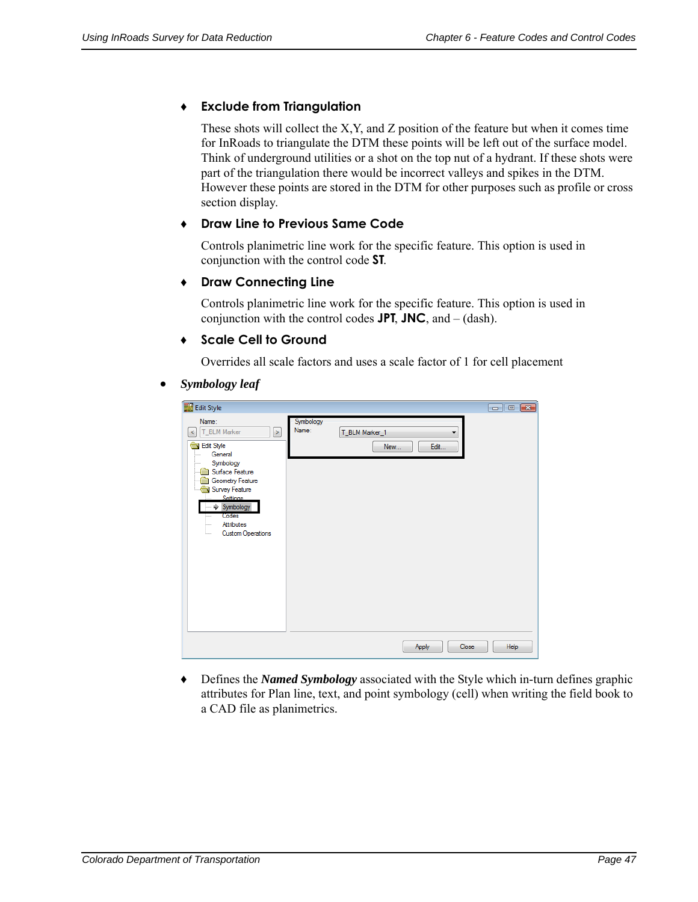## **♦ Exclude from Triangulation**

These shots will collect the X,Y, and Z position of the feature but when it comes time for InRoads to triangulate the DTM these points will be left out of the surface model. Think of underground utilities or a shot on the top nut of a hydrant. If these shots were part of the triangulation there would be incorrect valleys and spikes in the DTM. However these points are stored in the DTM for other purposes such as profile or cross section display.

## **♦ Draw Line to Previous Same Code**

Controls planimetric line work for the specific feature. This option is used in conjunction with the control code **ST**.

## **♦ Draw Connecting Line**

Controls planimetric line work for the specific feature. This option is used in conjunction with the control codes **JPT**, **JNC**, and – (dash).

## **♦ Scale Cell to Ground**

Overrides all scale factors and uses a scale factor of 1 for cell placement

#### *Symbology leaf*

|                                                                                                                                                                                                                                                                     |                    |                               | $\begin{array}{c c c c c} \hline \multicolumn{3}{c }{\multicolumn{3}{c }{\multicolumn{3}{c }{\mid}} & \multicolumn{3}{c }{\multicolumn{3}{c }{\mid}} & \multicolumn{3}{c }{\multicolumn{3}{c }{\mid}} & \multicolumn{3}{c }{\multicolumn{3}{c }{\mid}} & \multicolumn{3}{c }{\multicolumn{3}{c }{\mid}} & \multicolumn{3}{c }{\multicolumn{3}{c }{\mid}} & \multicolumn{3}{c }{\multicolumn{3}{c }{\mid}} & \multicolumn{3}{c }{\mid}} & \multicolumn{3}{c }{$ |
|---------------------------------------------------------------------------------------------------------------------------------------------------------------------------------------------------------------------------------------------------------------------|--------------------|-------------------------------|----------------------------------------------------------------------------------------------------------------------------------------------------------------------------------------------------------------------------------------------------------------------------------------------------------------------------------------------------------------------------------------------------------------------------------------------------------------|
| Edit Style<br>Name:<br>T_BLM Marker<br>$\geq$<br>$\,<$<br>Edit Style<br>General<br>1111<br>Symbology<br>Surface Feature<br>Geometry Feature<br>Survey Feature<br>Settings<br>Symbology<br>Codes<br><b>Louis</b><br>Attributes<br>i<br><b>Custom Operations</b><br>i | Symbology<br>Name: | T_BLM Marker_1<br>New<br>Edit |                                                                                                                                                                                                                                                                                                                                                                                                                                                                |
|                                                                                                                                                                                                                                                                     |                    | Close<br>Apply                | Help                                                                                                                                                                                                                                                                                                                                                                                                                                                           |

♦ Defines the *Named Symbology* associated with the Style which in-turn defines graphic attributes for Plan line, text, and point symbology (cell) when writing the field book to a CAD file as planimetrics.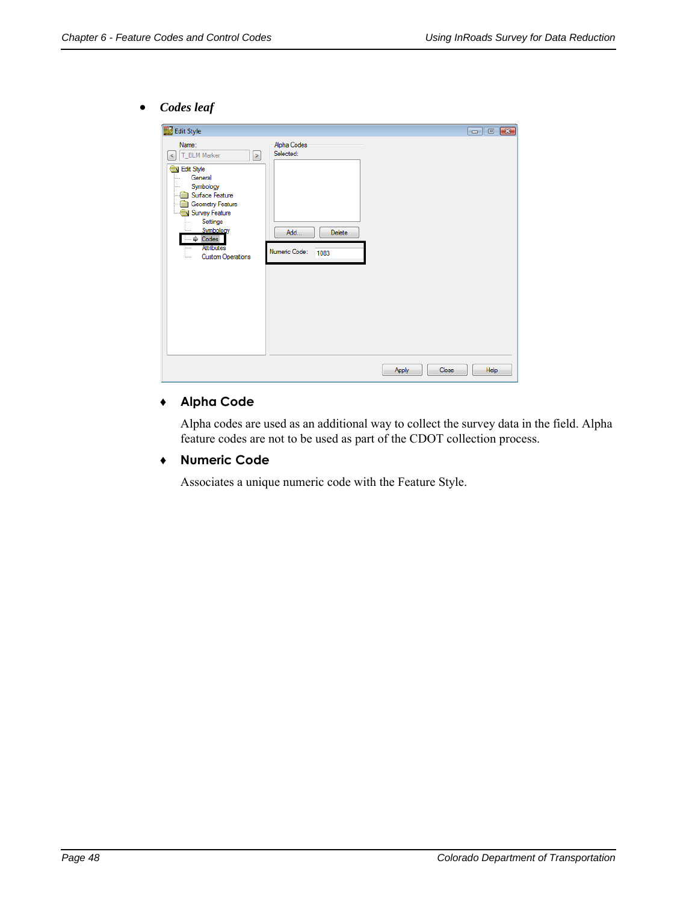*Codes leaf*

| Edit Style                                                                                                                                                                                                                                                  |                                                                           |                        |
|-------------------------------------------------------------------------------------------------------------------------------------------------------------------------------------------------------------------------------------------------------------|---------------------------------------------------------------------------|------------------------|
| Name:<br>T_BLM Marker<br>$\, > \,$<br>$\,<$<br>Edit Style<br>General<br>.<br>Symbology<br>1.11<br>Surface Feature<br>Geometry Feature<br>Survey Feature<br>Settings<br>Symbology<br>$\Rightarrow$ Codes<br>Attributes<br>i<br><b>Custom Operations</b><br>i | Alpha Codes<br>Selected:<br>Add<br><b>Delete</b><br>Numeric Code:<br>1083 |                        |
|                                                                                                                                                                                                                                                             |                                                                           | Help<br>Close<br>Apply |

## **♦ Alpha Code**

Alpha codes are used as an additional way to collect the survey data in the field. Alpha feature codes are not to be used as part of the CDOT collection process.

#### ♦ **Numeric Code**

Associates a unique numeric code with the Feature Style.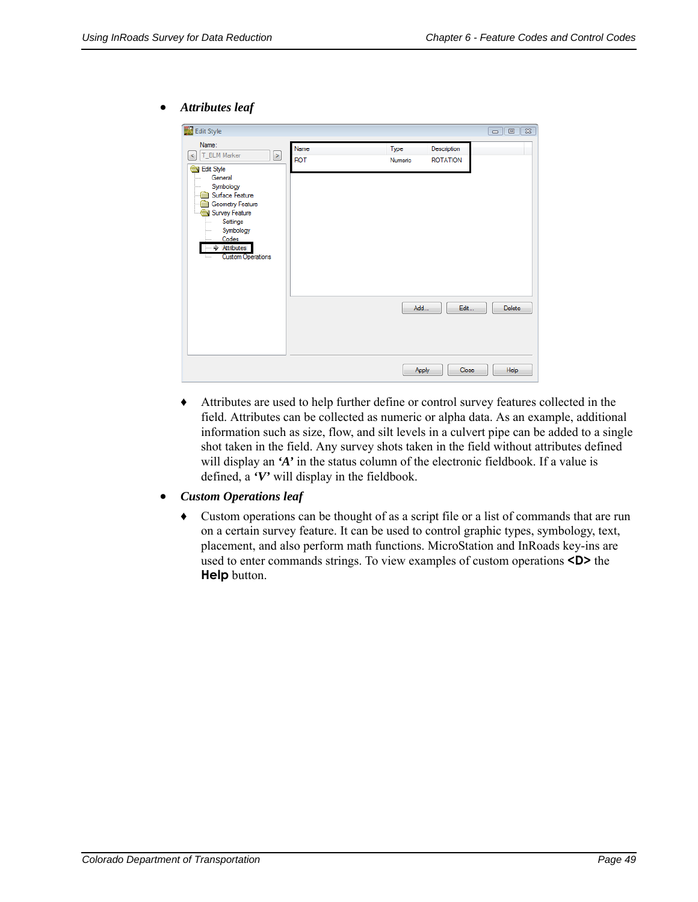#### *Attributes leaf*

|                                                                                                                                                                                                                                                                                    |                    |                 |                                | $\Box$ 0 $\Box$ |
|------------------------------------------------------------------------------------------------------------------------------------------------------------------------------------------------------------------------------------------------------------------------------------|--------------------|-----------------|--------------------------------|-----------------|
| Edit Style<br>Name:<br>T_BLM Marker<br>⊵<br>$\,<$<br>Edit Style<br>General<br>i<br>Symbology<br>.<br>Surface Feature<br>Geometry Feature<br>Survey Feature<br>τ<br>Settings<br><br>Symbology<br>.<br>Codes<br>.<br>$\Rightarrow$ Attributes<br><b>Custom Operations</b><br>1.1.1.1 | Name<br><b>ROT</b> | Type<br>Numeric | Description<br><b>ROTATION</b> |                 |
|                                                                                                                                                                                                                                                                                    |                    | Add             | Edit                           | <b>Delete</b>   |
|                                                                                                                                                                                                                                                                                    |                    | Apply           | Close                          | Help            |

- ♦ Attributes are used to help further define or control survey features collected in the field. Attributes can be collected as numeric or alpha data. As an example, additional information such as size, flow, and silt levels in a culvert pipe can be added to a single shot taken in the field. Any survey shots taken in the field without attributes defined will display an 'A' in the status column of the electronic fieldbook. If a value is defined, a *'V'* will display in the fieldbook.
- *Custom Operations leaf*
	- **♦** Custom operations can be thought of as a script file or a list of commands that are run on a certain survey feature. It can be used to control graphic types, symbology, text, placement, and also perform math functions. MicroStation and InRoads key-ins are used to enter commands strings. To view examples of custom operations **<D>** the **Help** button.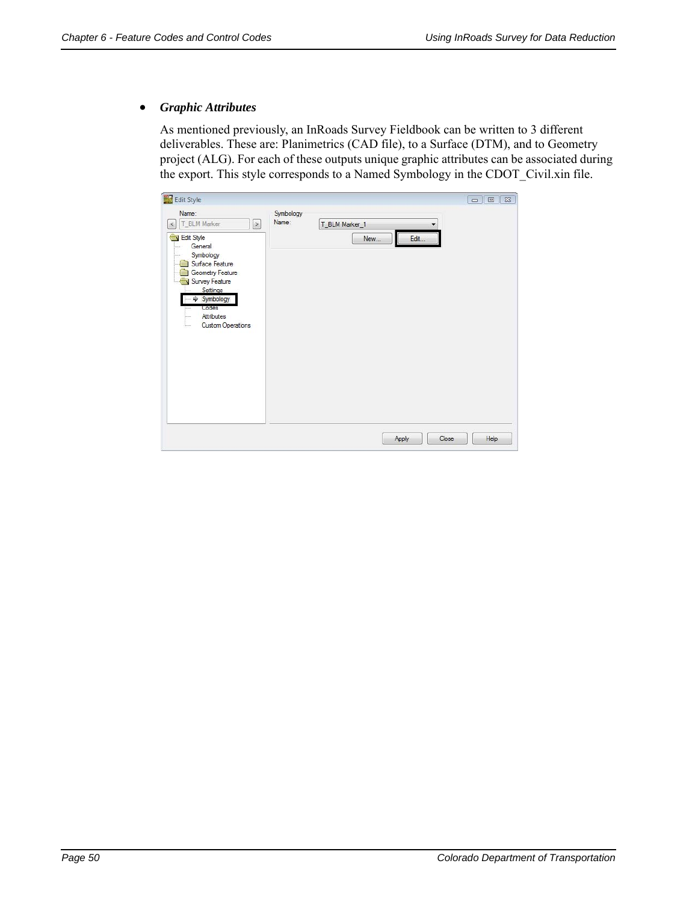#### *Graphic Attributes*

As mentioned previously, an InRoads Survey Fieldbook can be written to 3 different deliverables. These are: Planimetrics (CAD file), to a Surface (DTM), and to Geometry project (ALG). For each of these outputs unique graphic attributes can be associated during the export. This style corresponds to a Named Symbology in the CDOT\_Civil.xin file.

| Edit Style                                                                                                                                                                                                                                                      |                    |                |     |       |       | $\Box$ $\Box$ |
|-----------------------------------------------------------------------------------------------------------------------------------------------------------------------------------------------------------------------------------------------------------------|--------------------|----------------|-----|-------|-------|---------------|
| Name:<br>T_BLM Marker<br>$\left[\right\rangle$<br>$\leq$<br>Edit Style<br>General<br>1.1.1<br>Symbology<br><br>Surface Feature<br>Geometry Feature<br>Survey Feature<br>Settings<br>Symbology<br>₩<br>Codes<br>Attributes<br>$\frac{1}{2}$<br>Custom Operations | Symbology<br>Name: | T_BLM Marker_1 | New | Edit  |       |               |
|                                                                                                                                                                                                                                                                 |                    |                |     | Apply | Close | Help          |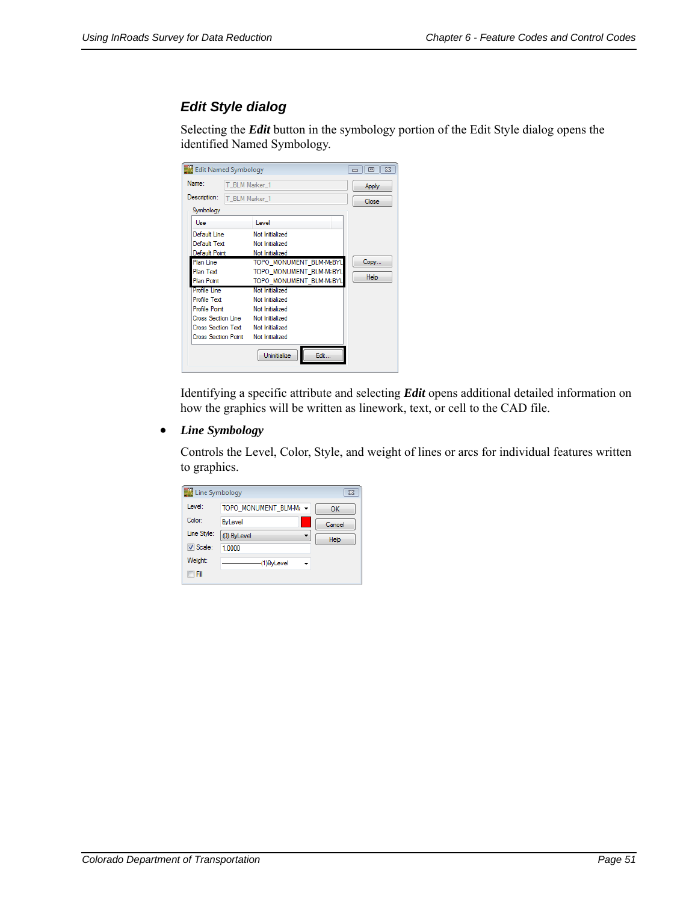## *Edit Style dialog*

Selecting the *Edit* button in the symbology portion of the Edit Style dialog opens the identified Named Symbology.

| Edit Named Symbology |                |                                    | 回<br>$\mathbb{R}$ |
|----------------------|----------------|------------------------------------|-------------------|
| Name:                | T BLM Marker 1 |                                    | Apply             |
| Description:         | T_BLM Marker_1 |                                    | Close             |
| Symbology            |                |                                    |                   |
| Use                  |                | Level                              |                   |
| Default Line         |                | Not Initialized                    |                   |
| Default Text         |                | Not Initialized                    |                   |
| Default Point        |                | Not Initialized                    |                   |
| <b>Plan Line</b>     |                | TOPO MONUMENT BLM-MaBYL            | Copy              |
| Plan Text            |                | TOPO MONUMENT BLM-MaBYL            |                   |
| Plan Point           |                | TOPO MONUMENT BLM-MzBYL            | Help              |
| Profile Line         |                | Not Initialized                    |                   |
| Profile Text         |                | Not Initialized                    |                   |
| Profile Point        |                | Not Initialized                    |                   |
|                      |                | Cross Section Line Not Initialized |                   |
|                      |                | Cross Section Text Not Initialized |                   |
| Cross Section Point  |                | Not Initialized                    |                   |
|                      |                | Edit<br>Uninitialize               |                   |

Identifying a specific attribute and selecting *Edit* opens additional detailed information on how the graphics will be written as linework, text, or cell to the CAD file.

*Line Symbology*

Controls the Level, Color, Style, and weight of lines or arcs for individual features written to graphics.

| Line Symbology  |                        | $\Sigma$ |
|-----------------|------------------------|----------|
| Level:          | TOPO MONUMENT BLM-Mi - | OK       |
| Color:          | <b>ByLevel</b>         | Cancel   |
| Line Style:     | (0) ByLevel            | Help     |
| <b>V</b> Scale: | 1.0000                 |          |
| Weight:         | (1)ByLevel             |          |
| Fill            |                        |          |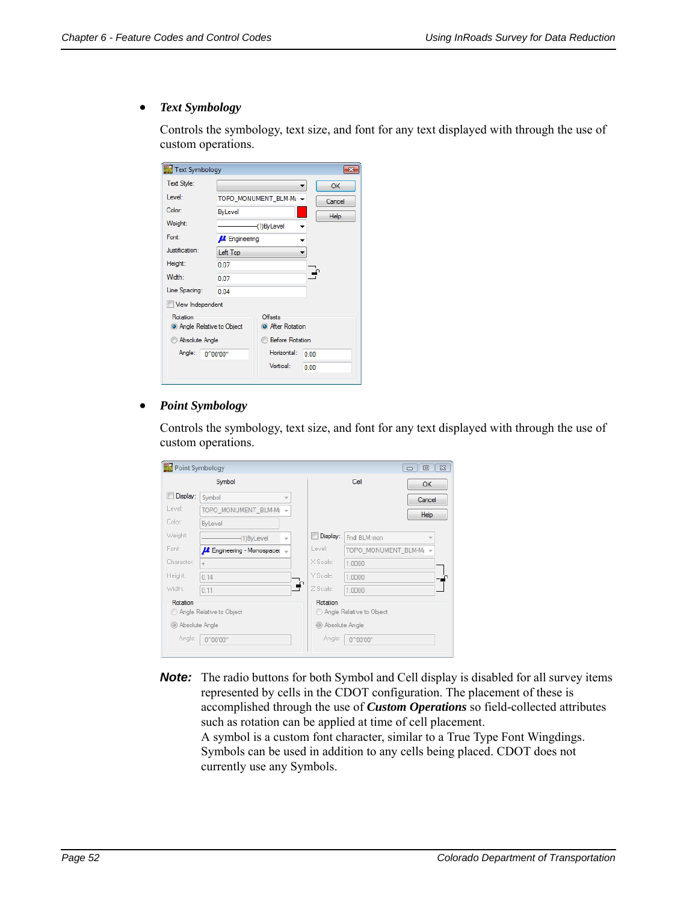#### *Text Symbology*

Controls the symbology, text size, and font for any text displayed with through the use of custom operations.

| Text Symbology                       |                                 |                                    |             |  |  |  |
|--------------------------------------|---------------------------------|------------------------------------|-------------|--|--|--|
| Text Style:                          |                                 |                                    | OK          |  |  |  |
| Level:                               |                                 | TOPO MONUMENT BLM-Mi -<br>Cancel   |             |  |  |  |
| Color:                               | <b>ByLevel</b>                  |                                    | <b>Help</b> |  |  |  |
| Weight:                              |                                 | (1)ByLevel                         |             |  |  |  |
| Font:                                | <b>A</b> Engineering            |                                    |             |  |  |  |
| Justification:                       | Left Top                        |                                    |             |  |  |  |
| Height:                              | 0.07                            |                                    |             |  |  |  |
| Width:                               | 0.07                            |                                    |             |  |  |  |
| Line Spacing:                        | 0.04                            |                                    |             |  |  |  |
| View Independent                     |                                 |                                    |             |  |  |  |
| Rotation<br>Angle Relative to Object |                                 | Offsets<br><b>O</b> After Rotation |             |  |  |  |
| Absolute Angle                       | <b>Before Rotation</b>          |                                    |             |  |  |  |
| Angle:                               | Horizontal:<br>0^00'00"<br>0.00 |                                    |             |  |  |  |
|                                      |                                 | Vertical:                          | 0.00        |  |  |  |

#### *Point Symbology*

Controls the symbology, text size, and font for any text displayed with through the use of custom operations.

| Point Symbology<br>回区<br>$\Box$                        |                          |                                                          |                    |                        |           |  |
|--------------------------------------------------------|--------------------------|----------------------------------------------------------|--------------------|------------------------|-----------|--|
| Symbol                                                 |                          |                                                          |                    | Cell                   | <b>OK</b> |  |
| Display:                                               | Symbol                   |                                                          |                    |                        | Cancel    |  |
| Level:                                                 | TOPO MONUMENT BLM-Ma -   |                                                          |                    |                        | Help      |  |
| Color:                                                 | <b>ByLevel</b>           |                                                          |                    |                        |           |  |
| Weight:                                                | (1)ByLevel               | $\overline{\phantom{a}}$                                 | Display:           | Fnd BLM mon            |           |  |
| Font:                                                  | Engineering - Monospacer |                                                          | Level:             | TOPO_MONUMENT_BLM-Ma - |           |  |
| Character:                                             | ÷                        |                                                          | X Scale:           | 1.0000                 |           |  |
| Height:                                                | 0.14                     |                                                          | Y Scale:           | 1.0000                 |           |  |
| Width:                                                 | 0.11                     | ÷                                                        | Z Scale:           | 1.0000                 |           |  |
| Rotation<br>Angle Relative to Object<br>Absolute Angle |                          | Rotation<br>Angle Relative to Object<br>@ Absolute Angle |                    |                        |           |  |
| Angle:<br>0^00'00"                                     |                          |                                                          | Angle:<br>0^00'00" |                        |           |  |

**Note:** The radio buttons for both Symbol and Cell display is disabled for all survey items represented by cells in the CDOT configuration. The placement of these is accomplished through the use of *Custom Operations* so field-collected attributes such as rotation can be applied at time of cell placement.

A symbol is a custom font character, similar to a True Type Font Wingdings. Symbols can be used in addition to any cells being placed. CDOT does not currently use any Symbols.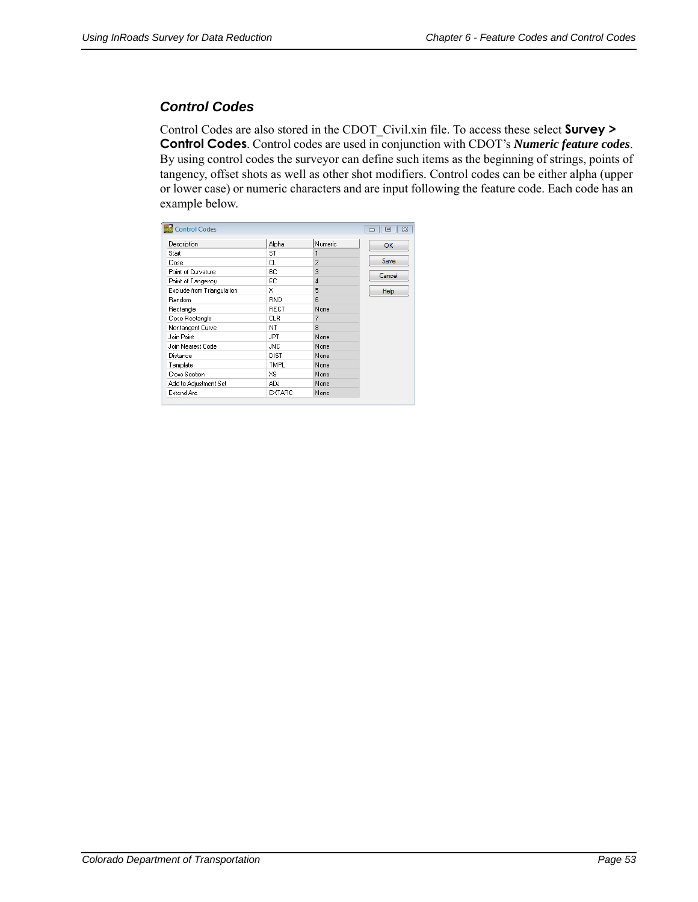## *Control Codes*

Control Codes are also stored in the CDOT\_Civil.xin file. To access these select **Survey > Control Codes**. Control codes are used in conjunction with CDOT's *Numeric feature codes*. By using control codes the surveyor can define such items as the beginning of strings, points of tangency, offset shots as well as other shot modifiers. Control codes can be either alpha (upper or lower case) or numeric characters and are input following the feature code. Each code has an example below.

|                            | Alpha       | Numeric |             |
|----------------------------|-------------|---------|-------------|
| Description                |             |         | OK          |
| Start                      | ST          | 1       |             |
| Close                      | СL          | 2       | Save        |
| Point of Curvature         | BС          | 3       | Cancel      |
| Point of Tangency          | ЕC          | 4       |             |
| Exclude from Triangulation | ×           | 5       | <b>Help</b> |
| Random                     | RND         | ĥ       |             |
| Rectangle                  | RECT        | None    |             |
| Close Rectangle            | СLR         | 7       |             |
| Nontangent Curve           | ΝT          | 8       |             |
| Join Point                 | JPT         | None    |             |
| Join Nearest Code          | <b>JNC</b>  | None    |             |
| Distance                   | <b>DIST</b> | None    |             |
| Template                   | <b>TMPL</b> | None    |             |
| Cross Section              | XS          | None    |             |
| Add to Adjustment Set      | ADJ         | None    |             |
| Extend Arc                 | EXTARC      | None    |             |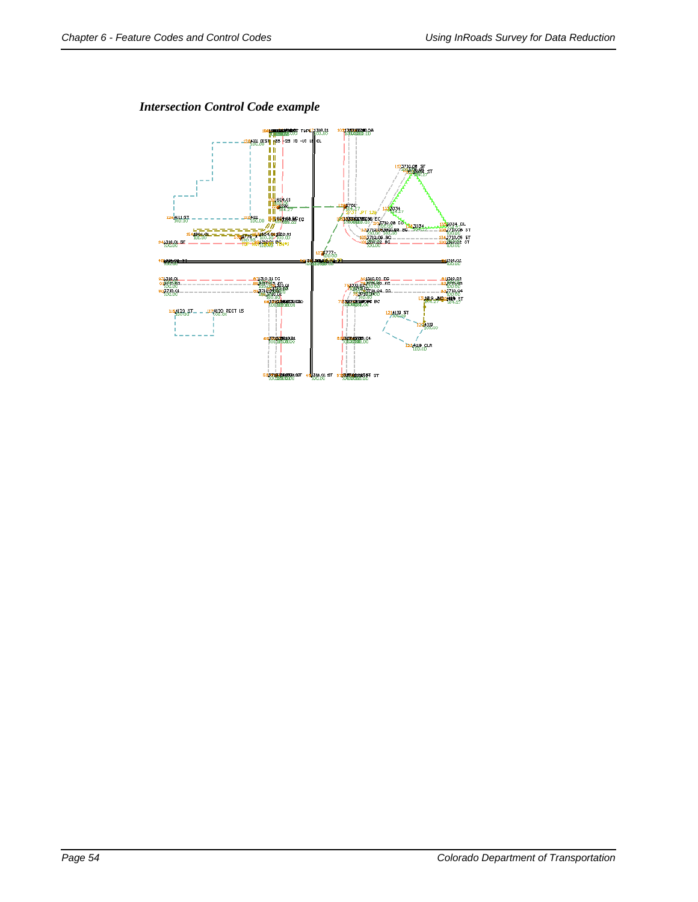*Intersection Control Code example*

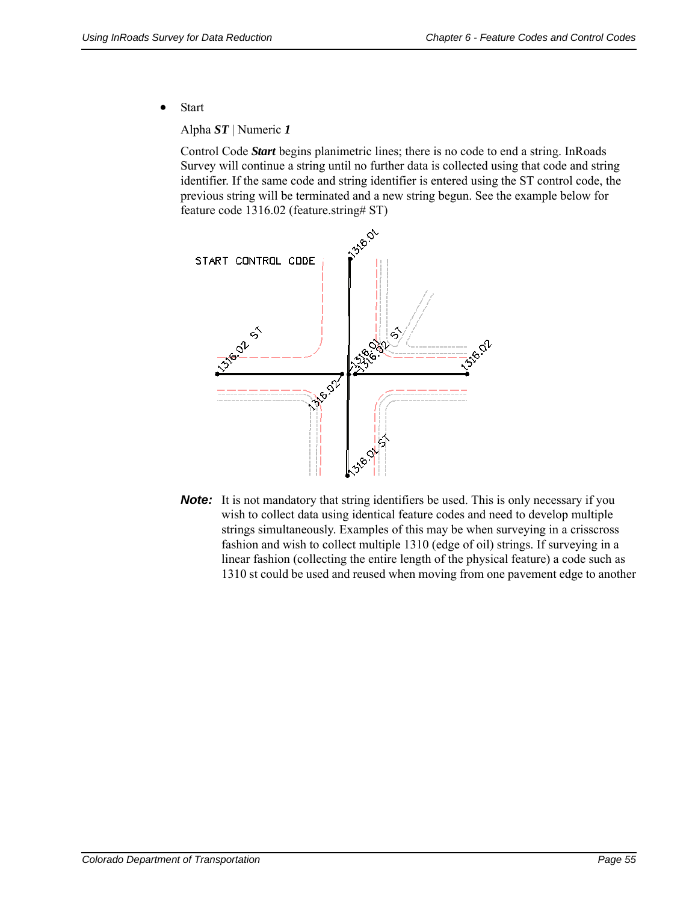• Start

Alpha *ST* | Numeric *1*

Control Code *Start* begins planimetric lines; there is no code to end a string. InRoads Survey will continue a string until no further data is collected using that code and string identifier. If the same code and string identifier is entered using the ST control code, the previous string will be terminated and a new string begun. See the example below for feature code 1316.02 (feature.string# ST)



**Note:** It is not mandatory that string identifiers be used. This is only necessary if you wish to collect data using identical feature codes and need to develop multiple strings simultaneously. Examples of this may be when surveying in a crisscross fashion and wish to collect multiple 1310 (edge of oil) strings. If surveying in a linear fashion (collecting the entire length of the physical feature) a code such as 1310 st could be used and reused when moving from one pavement edge to another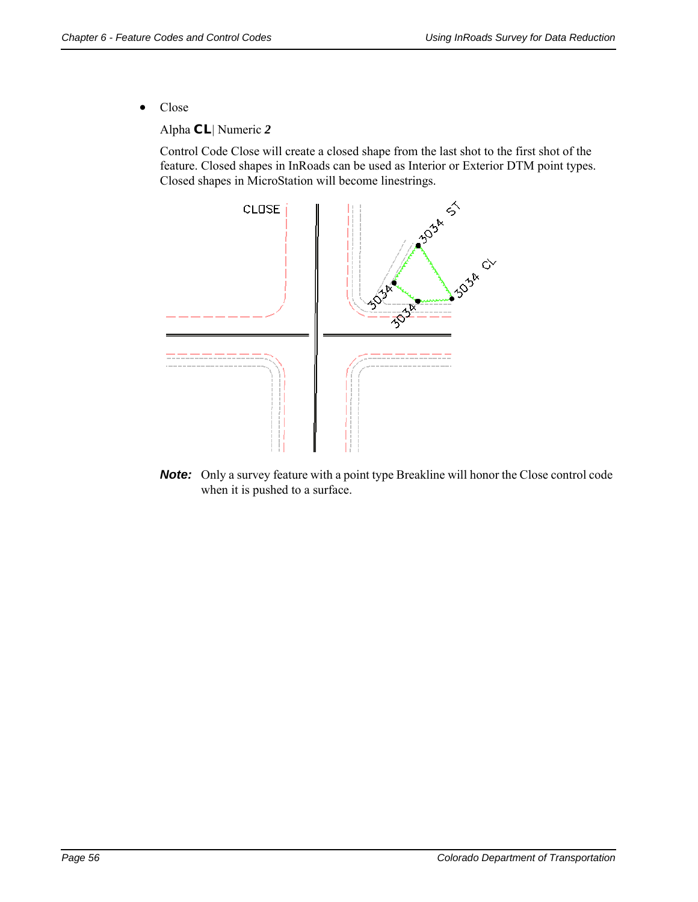• Close

Alpha *CL* | Numeric *2*

Control Code Close will create a closed shape from the last shot to the first shot of the feature. Closed shapes in InRoads can be used as Interior or Exterior DTM point types. Closed shapes in MicroStation will become linestrings.



**Note:** Only a survey feature with a point type Breakline will honor the Close control code when it is pushed to a surface.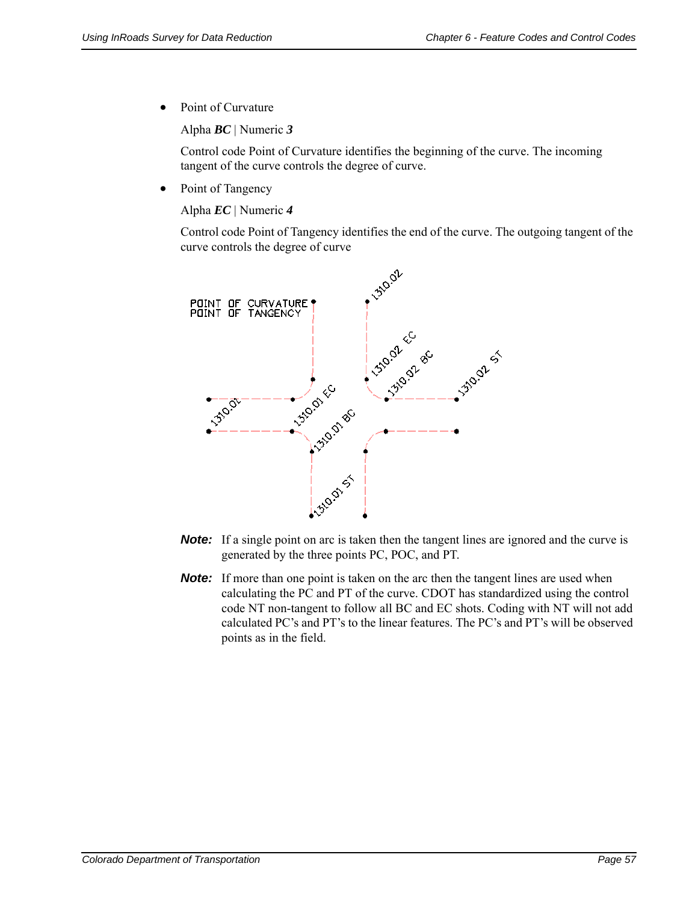• Point of Curvature

Alpha *BC* | Numeric *3*

Control code Point of Curvature identifies the beginning of the curve. The incoming tangent of the curve controls the degree of curve.

• Point of Tangency

Alpha *EC* | Numeric *4*

Control code Point of Tangency identifies the end of the curve. The outgoing tangent of the curve controls the degree of curve



- **Note:** If a single point on arc is taken then the tangent lines are ignored and the curve is generated by the three points PC, POC, and PT.
- **Note:** If more than one point is taken on the arc then the tangent lines are used when calculating the PC and PT of the curve. CDOT has standardized using the control code NT non-tangent to follow all BC and EC shots. Coding with NT will not add calculated PC's and PT's to the linear features. The PC's and PT's will be observed points as in the field.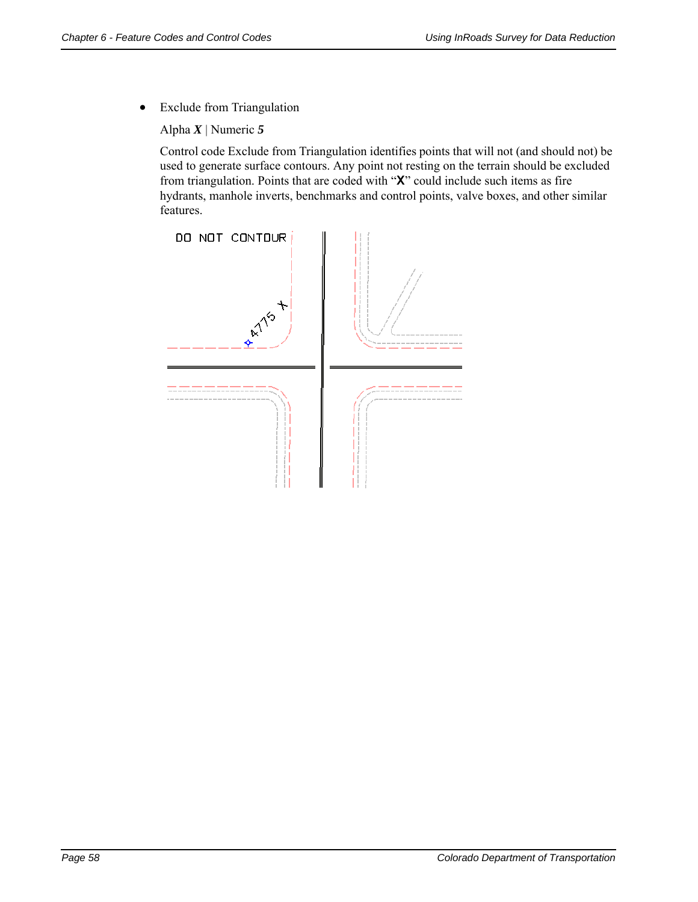Exclude from Triangulation

Alpha *X* | Numeric *5*

Control code Exclude from Triangulation identifies points that will not (and should not) be used to generate surface contours. Any point not resting on the terrain should be excluded from triangulation. Points that are coded with "**X**" could include such items as fire hydrants, manhole inverts, benchmarks and control points, valve boxes, and other similar features.

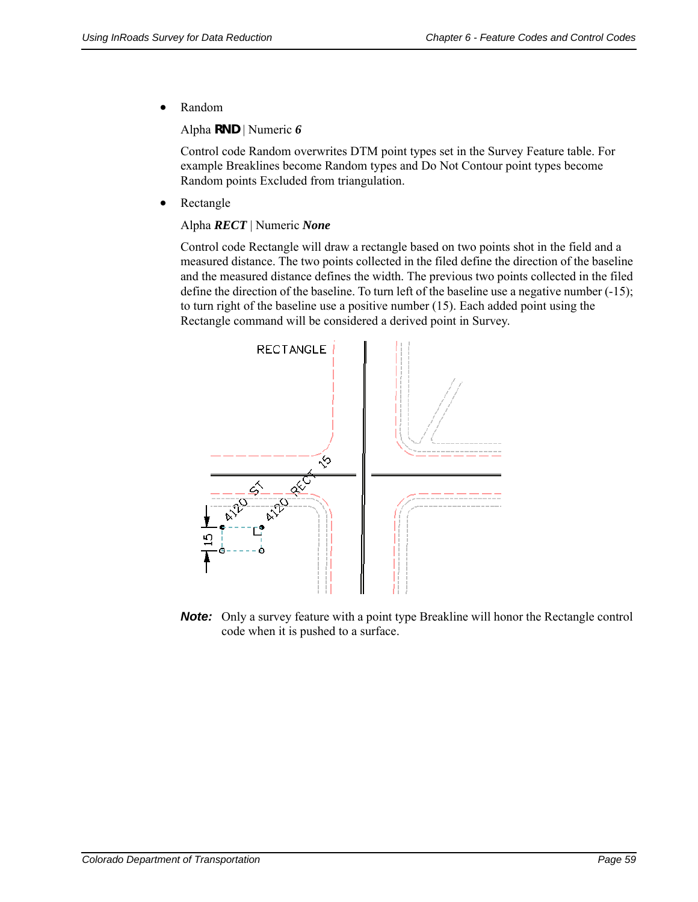Random

Alpha *RND* | Numeric *6*

Control code Random overwrites DTM point types set in the Survey Feature table. For example Breaklines become Random types and Do Not Contour point types become Random points Excluded from triangulation.

• Rectangle

#### Alpha *RECT* | Numeric *None*

Control code Rectangle will draw a rectangle based on two points shot in the field and a measured distance. The two points collected in the filed define the direction of the baseline and the measured distance defines the width. The previous two points collected in the filed define the direction of the baseline. To turn left of the baseline use a negative number (-15); to turn right of the baseline use a positive number (15). Each added point using the Rectangle command will be considered a derived point in Survey.



**Note:** Only a survey feature with a point type Breakline will honor the Rectangle control code when it is pushed to a surface.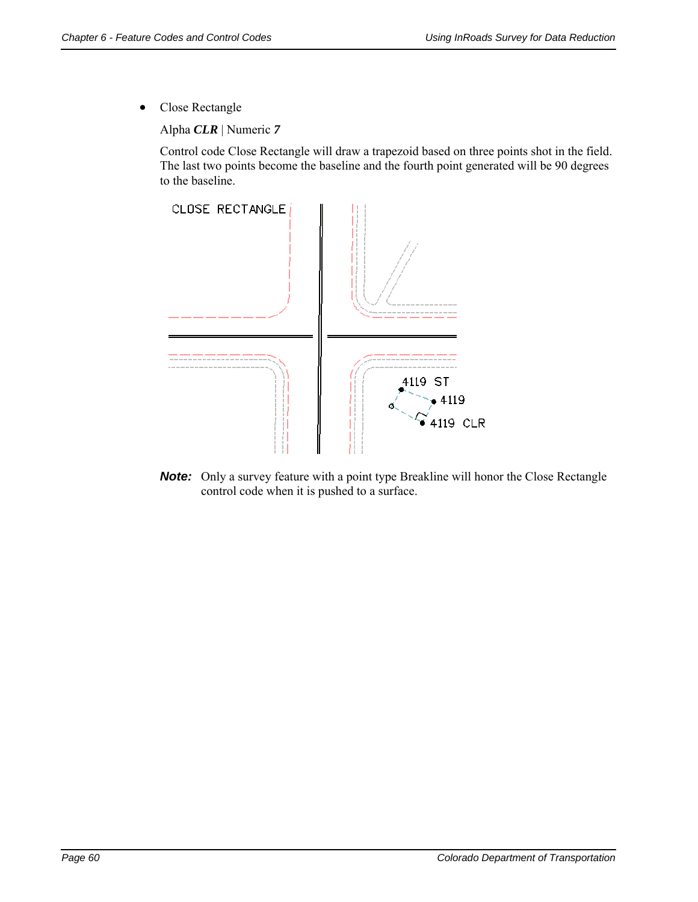Close Rectangle

Alpha *CLR* | Numeric *7*

Control code Close Rectangle will draw a trapezoid based on three points shot in the field. The last two points become the baseline and the fourth point generated will be 90 degrees to the baseline.



**Note:** Only a survey feature with a point type Breakline will honor the Close Rectangle control code when it is pushed to a surface.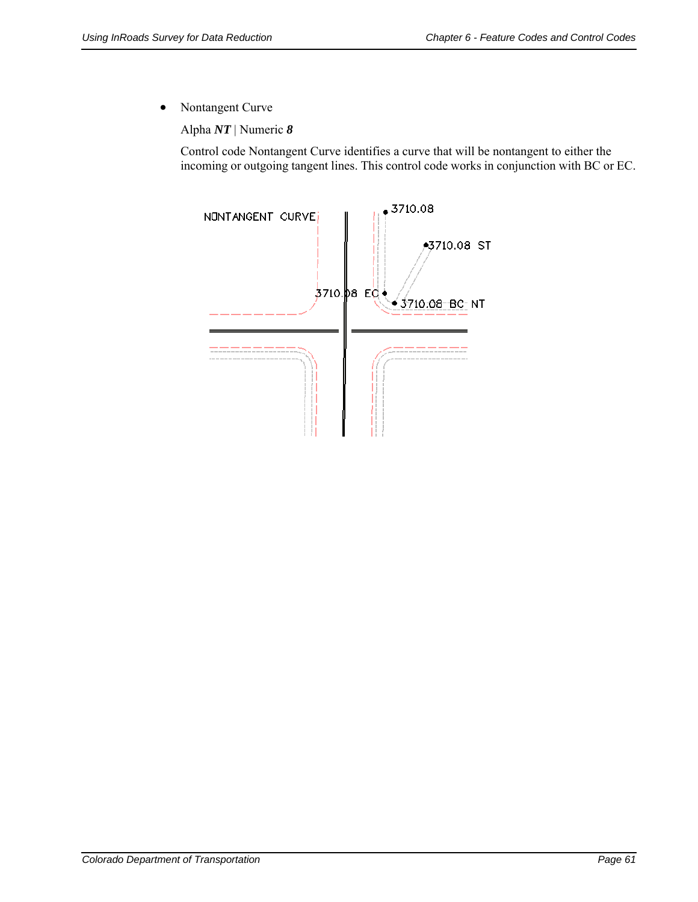• Nontangent Curve

Alpha *NT* | Numeric *8*

Control code Nontangent Curve identifies a curve that will be nontangent to either the incoming or outgoing tangent lines. This control code works in conjunction with BC or EC.

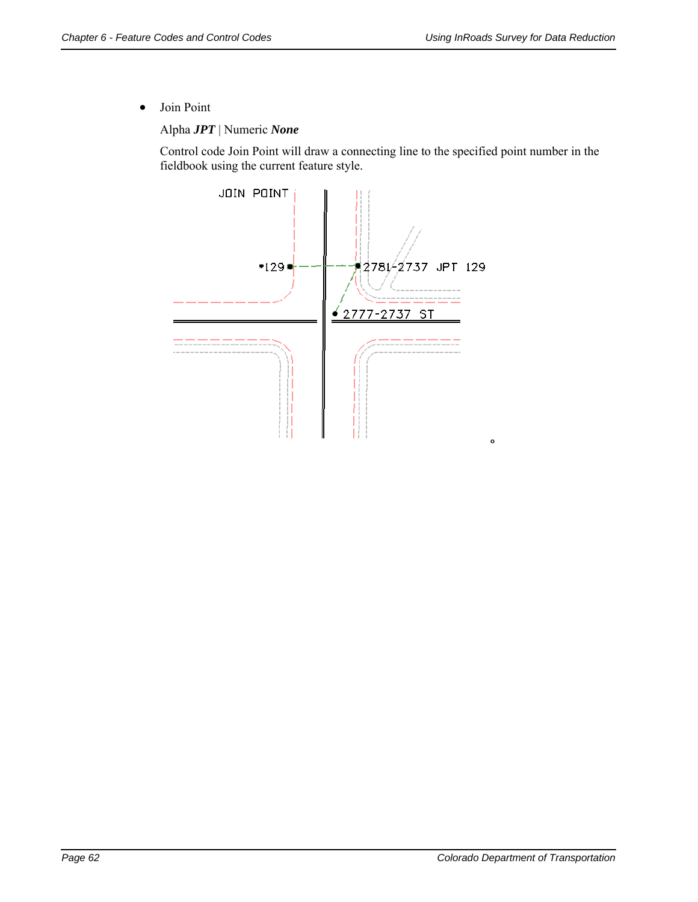Join Point

Alpha *JPT* | Numeric *None*

Control code Join Point will draw a connecting line to the specified point number in the fieldbook using the current feature style.

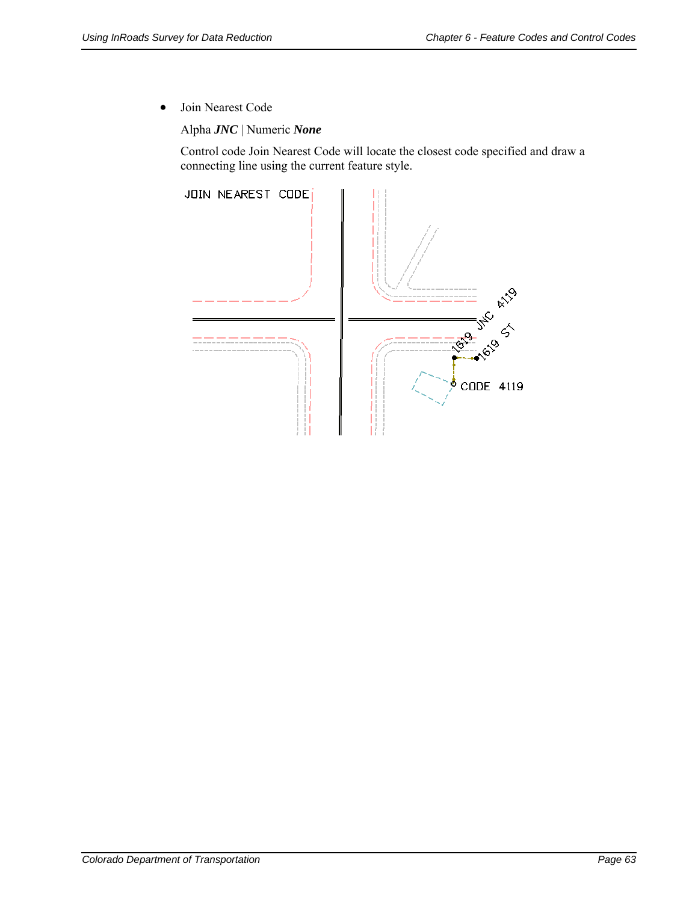Join Nearest Code

Alpha *JNC* | Numeric *None*

Control code Join Nearest Code will locate the closest code specified and draw a connecting line using the current feature style.

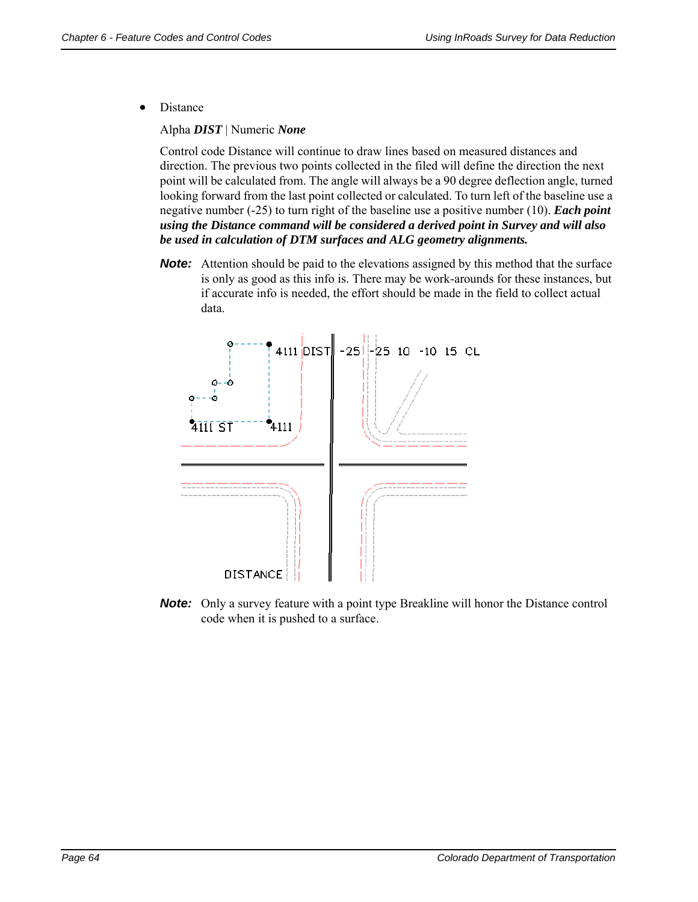• Distance

Alpha *DIST* | Numeric *None*

Control code Distance will continue to draw lines based on measured distances and direction. The previous two points collected in the filed will define the direction the next point will be calculated from. The angle will always be a 90 degree deflection angle, turned looking forward from the last point collected or calculated. To turn left of the baseline use a negative number (-25) to turn right of the baseline use a positive number (10). *Each point using the Distance command will be considered a derived point in Survey and will also be used in calculation of DTM surfaces and ALG geometry alignments.*

**Note:** Attention should be paid to the elevations assigned by this method that the surface is only as good as this info is. There may be work-arounds for these instances, but if accurate info is needed, the effort should be made in the field to collect actual data.



**Note:** Only a survey feature with a point type Breakline will honor the Distance control code when it is pushed to a surface.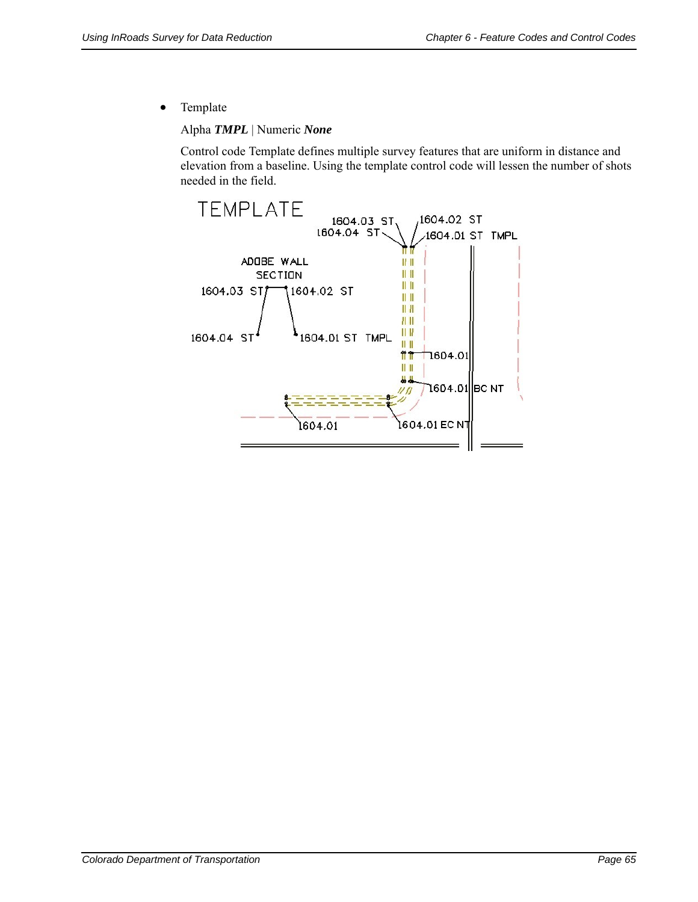• Template

Alpha *TMPL* | Numeric *None*

Control code Template defines multiple survey features that are uniform in distance and elevation from a baseline. Using the template control code will lessen the number of shots needed in the field.

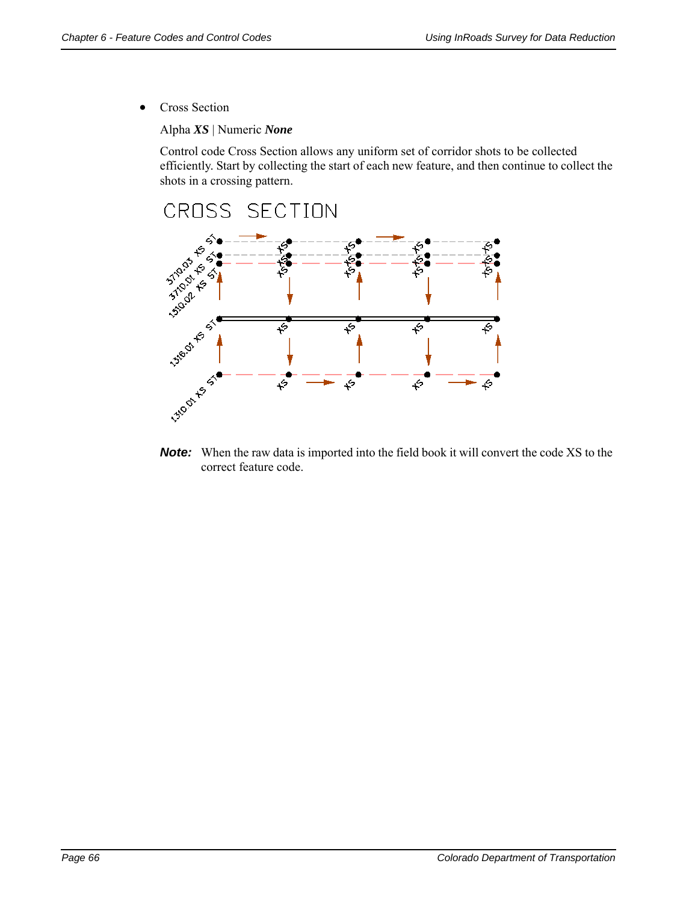• Cross Section

Alpha *XS* | Numeric *None*

Control code Cross Section allows any uniform set of corridor shots to be collected efficiently. Start by collecting the start of each new feature, and then continue to collect the shots in a crossing pattern.



**Note:** When the raw data is imported into the field book it will convert the code XS to the correct feature code.